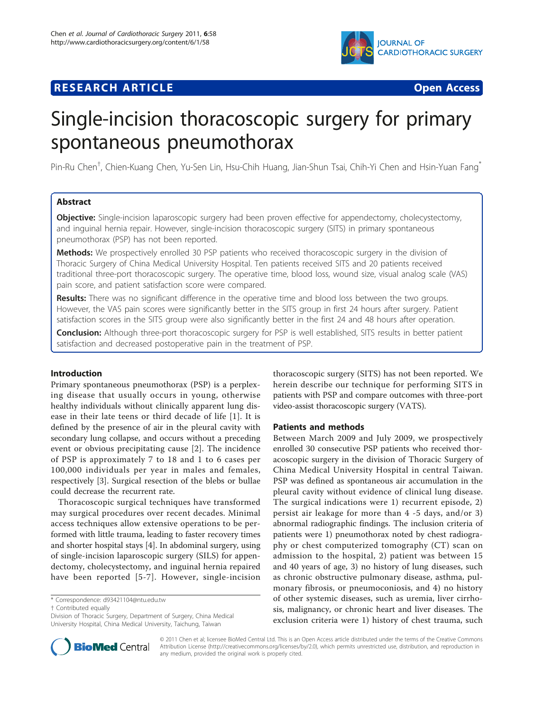# **IOURNAL OF CARDIOTHORACIC SURGERY**

# **RESEARCH ARTICLE Example 2018 CONSUMING ACCESS**



# Single-incision thoracoscopic surgery for primary spontaneous pneumothorax

Pin-Ru Chen<sup>†</sup>, Chien-Kuang Chen, Yu-Sen Lin, Hsu-Chih Huang, Jian-Shun Tsai, Chih-Yi Chen and Hsin-Yuan Fang<sup>\*</sup>

# Abstract

Objective: Single-incision laparoscopic surgery had been proven effective for appendectomy, cholecystectomy, and inguinal hernia repair. However, single-incision thoracoscopic surgery (SITS) in primary spontaneous pneumothorax (PSP) has not been reported.

Methods: We prospectively enrolled 30 PSP patients who received thoracoscopic surgery in the division of Thoracic Surgery of China Medical University Hospital. Ten patients received SITS and 20 patients received traditional three-port thoracoscopic surgery. The operative time, blood loss, wound size, visual analog scale (VAS) pain score, and patient satisfaction score were compared.

Results: There was no significant difference in the operative time and blood loss between the two groups. However, the VAS pain scores were significantly better in the SITS group in first 24 hours after surgery. Patient satisfaction scores in the SITS group were also significantly better in the first 24 and 48 hours after operation.

Conclusion: Although three-port thoracoscopic surgery for PSP is well established, SITS results in better patient satisfaction and decreased postoperative pain in the treatment of PSP.

# Introduction

Primary spontaneous pneumothorax (PSP) is a perplexing disease that usually occurs in young, otherwise healthy individuals without clinically apparent lung disease in their late teens or third decade of life [\[1](#page-3-0)]. It is defined by the presence of air in the pleural cavity with secondary lung collapse, and occurs without a preceding event or obvious precipitating cause [[2\]](#page-3-0). The incidence of PSP is approximately 7 to 18 and 1 to 6 cases per 100,000 individuals per year in males and females, respectively [\[3\]](#page-3-0). Surgical resection of the blebs or bullae could decrease the recurrent rate.

Thoracoscopic surgical techniques have transformed may surgical procedures over recent decades. Minimal access techniques allow extensive operations to be performed with little trauma, leading to faster recovery times and shorter hospital stays [\[4](#page-3-0)]. In abdominal surgery, using of single-incision laparoscopic surgery (SILS) for appendectomy, cholecystectomy, and inguinal hernia repaired have been reported [[5-7\]](#page-3-0). However, single-incision

† Contributed equally



## Patients and methods

Between March 2009 and July 2009, we prospectively enrolled 30 consecutive PSP patients who received thoracoscopic surgery in the division of Thoracic Surgery of China Medical University Hospital in central Taiwan. PSP was defined as spontaneous air accumulation in the pleural cavity without evidence of clinical lung disease. The surgical indications were 1) recurrent episode, 2) persist air leakage for more than 4 -5 days, and/or 3) abnormal radiographic findings. The inclusion criteria of patients were 1) pneumothorax noted by chest radiography or chest computerized tomography (CT) scan on admission to the hospital, 2) patient was between 15 and 40 years of age, 3) no history of lung diseases, such as chronic obstructive pulmonary disease, asthma, pulmonary fibrosis, or pneumoconiosis, and 4) no history of other systemic diseases, such as uremia, liver cirrhosis, malignancy, or chronic heart and liver diseases. The exclusion criteria were 1) history of chest trauma, such



© 2011 Chen et al; licensee BioMed Central Ltd. This is an Open Access article distributed under the terms of the Creative Commons Attribution License [\(http://creativecommons.org/licenses/by/2.0](http://creativecommons.org/licenses/by/2.0)), which permits unrestricted use, distribution, and reproduction in any medium, provided the original work is properly cited.

<sup>\*</sup> Correspondence: [d93421104@ntu.edu.tw](mailto:d93421104@ntu.edu.tw)

Division of Thoracic Surgery, Department of Surgery, China Medical University Hospital, China Medical University, Taichung, Taiwan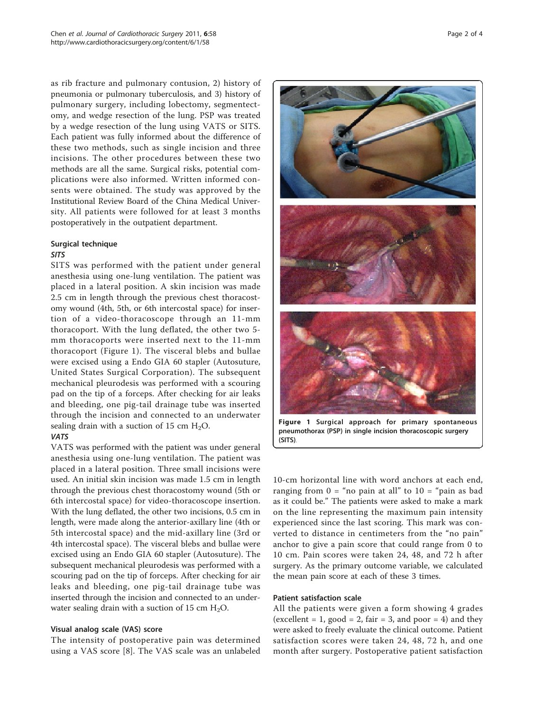as rib fracture and pulmonary contusion, 2) history of pneumonia or pulmonary tuberculosis, and 3) history of pulmonary surgery, including lobectomy, segmentectomy, and wedge resection of the lung. PSP was treated by a wedge resection of the lung using VATS or SITS. Each patient was fully informed about the difference of these two methods, such as single incision and three incisions. The other procedures between these two methods are all the same. Surgical risks, potential complications were also informed. Written informed consents were obtained. The study was approved by the Institutional Review Board of the China Medical University. All patients were followed for at least 3 months postoperatively in the outpatient department.

# Surgical technique

## SITS

SITS was performed with the patient under general anesthesia using one-lung ventilation. The patient was placed in a lateral position. A skin incision was made 2.5 cm in length through the previous chest thoracostomy wound (4th, 5th, or 6th intercostal space) for insertion of a video-thoracoscope through an 11-mm thoracoport. With the lung deflated, the other two 5 mm thoracoports were inserted next to the 11-mm thoracoport (Figure 1). The visceral blebs and bullae were excised using a Endo GIA 60 stapler (Autosuture, United States Surgical Corporation). The subsequent mechanical pleurodesis was performed with a scouring pad on the tip of a forceps. After checking for air leaks and bleeding, one pig-tail drainage tube was inserted through the incision and connected to an underwater sealing drain with a suction of 15 cm  $H_2O$ .

#### VATS

VATS was performed with the patient was under general anesthesia using one-lung ventilation. The patient was placed in a lateral position. Three small incisions were used. An initial skin incision was made 1.5 cm in length through the previous chest thoracostomy wound (5th or 6th intercostal space) for video-thoracoscope insertion. With the lung deflated, the other two incisions, 0.5 cm in length, were made along the anterior-axillary line (4th or 5th intercostal space) and the mid-axillary line (3rd or 4th intercostal space). The visceral blebs and bullae were excised using an Endo GIA 60 stapler (Autosuture). The subsequent mechanical pleurodesis was performed with a scouring pad on the tip of forceps. After checking for air leaks and bleeding, one pig-tail drainage tube was inserted through the incision and connected to an underwater sealing drain with a suction of 15 cm  $H_2O$ .

#### Visual analog scale (VAS) score

The intensity of postoperative pain was determined using a VAS score [\[8](#page-3-0)]. The VAS scale was an unlabeled



10-cm horizontal line with word anchors at each end, ranging from  $0 = \text{``no pain at all''}$  to  $10 = \text{``pain as bad}$ as it could be." The patients were asked to make a mark on the line representing the maximum pain intensity experienced since the last scoring. This mark was converted to distance in centimeters from the "no pain" anchor to give a pain score that could range from 0 to 10 cm. Pain scores were taken 24, 48, and 72 h after surgery. As the primary outcome variable, we calculated the mean pain score at each of these 3 times.

# Patient satisfaction scale

All the patients were given a form showing 4 grades (excellent = 1, good = 2, fair = 3, and poor = 4) and they were asked to freely evaluate the clinical outcome. Patient satisfaction scores were taken 24, 48, 72 h, and one month after surgery. Postoperative patient satisfaction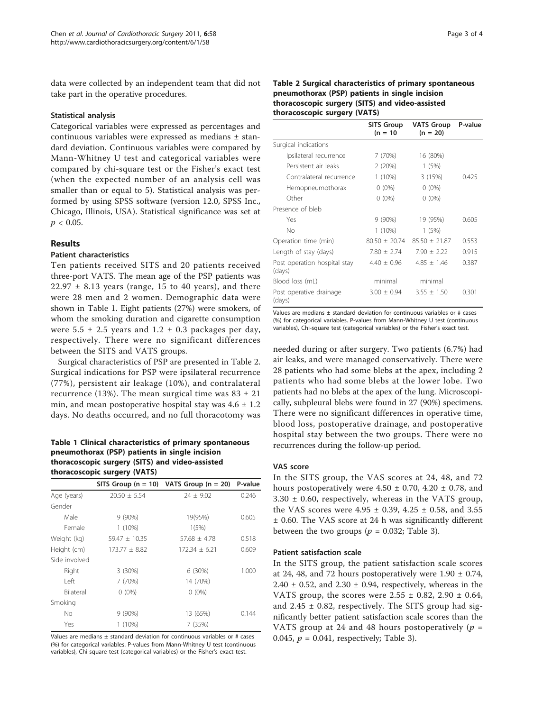data were collected by an independent team that did not take part in the operative procedures.

#### Statistical analysis

Categorical variables were expressed as percentages and continuous variables were expressed as medians ± standard deviation. Continuous variables were compared by Mann-Whitney U test and categorical variables were compared by chi-square test or the Fisher's exact test (when the expected number of an analysis cell was smaller than or equal to 5). Statistical analysis was performed by using SPSS software (version 12.0, SPSS Inc., Chicago, Illinois, USA). Statistical significance was set at  $p < 0.05$ .

#### Results

## Patient characteristics

Ten patients received SITS and 20 patients received three-port VATS. The mean age of the PSP patients was  $22.97 \pm 8.13$  years (range, 15 to 40 years), and there were 28 men and 2 women. Demographic data were shown in Table 1. Eight patients (27%) were smokers, of whom the smoking duration and cigarette consumption were  $5.5 \pm 2.5$  years and  $1.2 \pm 0.3$  packages per day, respectively. There were no significant differences between the SITS and VATS groups.

Surgical characteristics of PSP are presented in Table 2. Surgical indications for PSP were ipsilateral recurrence (77%), persistent air leakage (10%), and contralateral recurrence (13%). The mean surgical time was  $83 \pm 21$ min, and mean postoperative hospital stay was  $4.6 \pm 1.2$ days. No deaths occurred, and no full thoracotomy was

#### Table 1 Clinical characteristics of primary spontaneous pneumothorax (PSP) patients in single incision thoracoscopic surgery (SITS) and video-assisted thoracoscopic surgery (VATS)

|               |                   | SITS Group $(n = 10)$ VATS Group $(n = 20)$ | P-value |
|---------------|-------------------|---------------------------------------------|---------|
| Age (years)   | $20.50 \pm 5.54$  | $24 \pm 9.02$                               | 0.246   |
| Gender        |                   |                                             |         |
| Male          | $9(90\%)$         | 19(95%)                                     | 0.605   |
| Female        | $1(10\%)$         | 1(5%)                                       |         |
| Weight (kg)   | $59.47 \pm 10.35$ | $57.68 \pm 4.78$                            | 0.518   |
| Height (cm)   | $173.77 \pm 8.82$ | $172.34 \pm 6.21$                           | 0.609   |
| Side involved |                   |                                             |         |
| Right         | 3(30%)            | 6 (30%)                                     | 1.000   |
| I eft         | 7 (70%)           | 14 (70%)                                    |         |
| Bilateral     | $0(0\%)$          | $0(0\%)$                                    |         |
| Smoking       |                   |                                             |         |
| No            | $9(90\%)$         | 13 (65%)                                    | 0.144   |
| Yes           | 1 (10%)           | 7 (35%)                                     |         |

Values are medians  $\pm$  standard deviation for continuous variables or # cases (%) for categorical variables. P-values from Mann-Whitney U test (continuous variables), Chi-square test (categorical variables) or the Fisher's exact test.

|                                        | <b>SITS Group</b><br>$(n = 10)$ | <b>VATS Group</b><br>$(n = 20)$ | P-value |
|----------------------------------------|---------------------------------|---------------------------------|---------|
| Surgical indications                   |                                 |                                 |         |
| Ipsilateral recurrence                 | 7 (70%)                         | 16 (80%)                        |         |
| Persistent air leaks                   | 2(20%)                          | 1(5%)                           |         |
| Contralateral recurrence               | $1(10\%)$                       | 3(15%)                          | 0.425   |
| Hemopneumothorax                       | $0(0\%)$                        | $0(0\%)$                        |         |
| Other                                  | $0(0\%)$                        | $0(0\%)$                        |         |
| Presence of bleb                       |                                 |                                 |         |
| Yes                                    | $9(90\%)$                       | 19 (95%)                        | 0.605   |
| No                                     | $1(10\%)$                       | 1(5%)                           |         |
| Operation time (min)                   | $80.50 \pm 20.74$               | $85.50 \pm 21.87$               | 0.553   |
| Length of stay (days)                  | $7.80 \pm 2.74$                 | $7.90 \pm 2.22$                 | 0.915   |
| Post operation hospital stay<br>(days) | $4.40 + 0.96$                   | $4.85 + 1.46$                   | 0.387   |
| Blood loss (mL)                        | minimal                         | minimal                         |         |
| Post operative drainage<br>(days)      | $3.00 \pm 0.94$                 | $3.55 \pm 1.50$                 | 0.301   |

Values are medians  $\pm$  standard deviation for continuous variables or # cases (%) for categorical variables. P-values from Mann-Whitney U test (continuous variables), Chi-square test (categorical variables) or the Fisher's exact test.

needed during or after surgery. Two patients (6.7%) had air leaks, and were managed conservatively. There were 28 patients who had some blebs at the apex, including 2 patients who had some blebs at the lower lobe. Two patients had no blebs at the apex of the lung. Microscopically, subpleural blebs were found in 27 (90%) specimens. There were no significant differences in operative time, blood loss, postoperative drainage, and postoperative hospital stay between the two groups. There were no recurrences during the follow-up period.

#### VAS score

In the SITS group, the VAS scores at 24, 48, and 72 hours postoperatively were  $4.50 \pm 0.70$ ,  $4.20 \pm 0.78$ , and 3.30 ± 0.60, respectively, whereas in the VATS group, the VAS scores were  $4.95 \pm 0.39$ ,  $4.25 \pm 0.58$ , and  $3.55$ ± 0.60. The VAS score at 24 h was significantly different between the two groups ( $p = 0.032$ ; Table [3](#page-3-0)).

#### Patient satisfaction scale

In the SITS group, the patient satisfaction scale scores at 24, 48, and 72 hours postoperatively were  $1.90 \pm 0.74$ ,  $2.40 \pm 0.52$ , and  $2.30 \pm 0.94$ , respectively, whereas in the VATS group, the scores were  $2.55 \pm 0.82$ ,  $2.90 \pm 0.64$ , and  $2.45 \pm 0.82$ , respectively. The SITS group had significantly better patient satisfaction scale scores than the VATS group at 24 and 48 hours postoperatively ( $p =$ 0.045,  $p = 0.041$ , respectively; Table [3\)](#page-3-0).